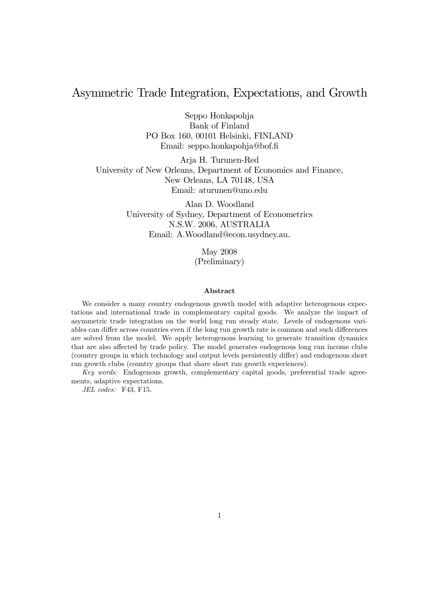# Asymmetric Trade Integration, Expectations, and Growth

Seppo Honkapohja Bank of Finland PO Box 160, 00101 Helsinki, FINLAND Email: seppo.honkapohja@bof.fi

Arja H. Turunen-Red University of New Orleans, Department of Economics and Finance, New Orleans, LA 70148, USA Email: aturunen@uno.edu

> Alan D. Woodland University of Sydney, Department of Econometrics N.S.W. 2006, AUSTRALIA Email: A.Woodland@econ.usydney.au.

> > May 2008 (Preliminary)

#### Abstract

We consider a many country endogenous growth model with adaptive heterogenous expectations and international trade in complementary capital goods. We analyze the impact of asymmetric trade integration on the world long run steady state. Levels of endogenous variables can differ across countries even if the long run growth rate is common and such differences are solved from the model. We apply heterogenous learning to generate transition dynamics that are also affected by trade policy. The model generates endogenous long run income clubs (country groups in which technology and output levels persistently differ) and endogenous short run growth clubs (country groups that share short run growth experiences).

Key words: Endogenous growth, complementary capital goods, preferential trade agreements, adaptive expectations.

JEL codes: F43, F15.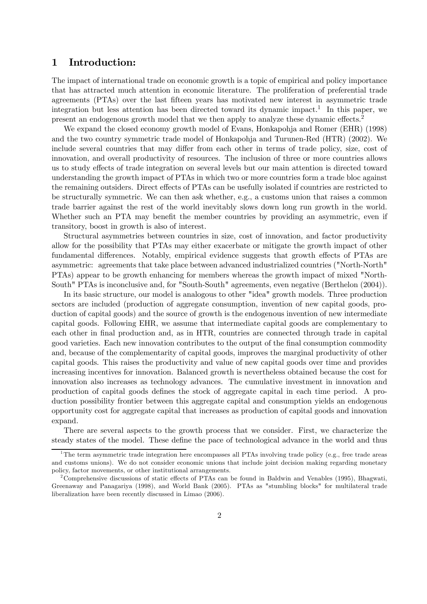## 1 Introduction:

The impact of international trade on economic growth is a topic of empirical and policy importance that has attracted much attention in economic literature. The proliferation of preferential trade agreements (PTAs) over the last fifteen years has motivated new interest in asymmetric trade integration but less attention has been directed toward its dynamic impact.1 In this paper, we present an endogenous growth model that we then apply to analyze these dynamic effects.2

We expand the closed economy growth model of Evans, Honkapohja and Romer (EHR) (1998) and the two country symmetric trade model of Honkapohja and Turunen-Red (HTR) (2002). We include several countries that may differ from each other in terms of trade policy, size, cost of innovation, and overall productivity of resources. The inclusion of three or more countries allows us to study effects of trade integration on several levels but our main attention is directed toward understanding the growth impact of PTAs in which two or more countries form a trade bloc against the remaining outsiders. Direct effects of PTAs can be usefully isolated if countries are restricted to be structurally symmetric. We can then ask whether, e.g., a customs union that raises a common trade barrier against the rest of the world inevitably slows down long run growth in the world. Whether such an PTA may benefit the member countries by providing an asymmetric, even if transitory, boost in growth is also of interest.

Structural asymmetries between countries in size, cost of innovation, and factor productivity allow for the possibility that PTAs may either exacerbate or mitigate the growth impact of other fundamental differences. Notably, empirical evidence suggests that growth effects of PTAs are asymmetric: agreements that take place between advanced industrialized countries ("North-North" PTAs) appear to be growth enhancing for members whereas the growth impact of mixed "North-South" PTAs is inconclusive and, for "South-South" agreements, even negative (Berthelon (2004)).

In its basic structure, our model is analogous to other "idea" growth models. Three production sectors are included (production of aggregate consumption, invention of new capital goods, production of capital goods) and the source of growth is the endogenous invention of new intermediate capital goods. Following EHR, we assume that intermediate capital goods are complementary to each other in final production and, as in HTR, countries are connected through trade in capital good varieties. Each new innovation contributes to the output of the final consumption commodity and, because of the complementarity of capital goods, improves the marginal productivity of other capital goods. This raises the productivity and value of new capital goods over time and provides increasing incentives for innovation. Balanced growth is nevertheless obtained because the cost for innovation also increases as technology advances. The cumulative investment in innovation and production of capital goods defines the stock of aggregate capital in each time period. A production possibility frontier between this aggregate capital and consumption yields an endogenous opportunity cost for aggregate capital that increases as production of capital goods and innovation expand.

There are several aspects to the growth process that we consider. First, we characterize the steady states of the model. These define the pace of technological advance in the world and thus

<sup>&</sup>lt;sup>1</sup>The term asymmetric trade integration here encompasses all PTAs involving trade policy (e.g., free trade areas and customs unions). We do not consider economic unions that include joint decision making regarding monetary policy, factor movements, or other institutional arrangements.

<sup>2</sup>Comprehensive discussions of static effects of PTAs can be found in Baldwin and Venables (1995), Bhagwati, Greenaway and Panagariya (1998), and World Bank (2005). PTAs as "stumbling blocks" for multilateral trade liberalization have been recently discussed in Limao (2006).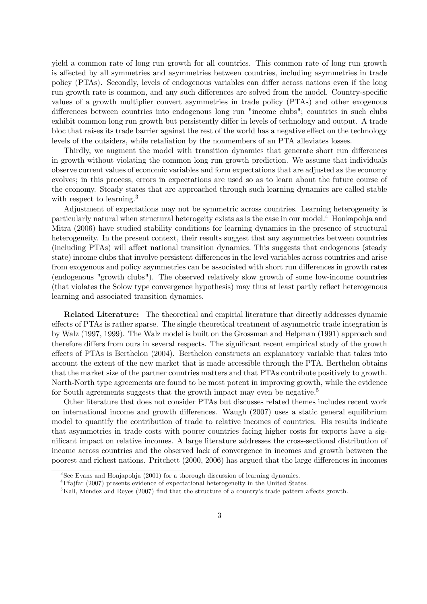yield a common rate of long run growth for all countries. This common rate of long run growth is affected by all symmetries and asymmetries between countries, including asymmetries in trade policy (PTAs). Secondly, levels of endogenous variables can differ across nations even if the long run growth rate is common, and any such differences are solved from the model. Country-specific values of a growth multiplier convert asymmetries in trade policy (PTAs) and other exogenous differences between countries into endogenous long run "income clubs"; countries in such clubs exhibit common long run growth but persistently differ in levels of technology and output. A trade bloc that raises its trade barrier against the rest of the world has a negative effect on the technology levels of the outsiders, while retaliation by the nonmembers of an PTA alleviates losses.

Thirdly, we augment the model with transition dynamics that generate short run differences in growth without violating the common long run growth prediction. We assume that individuals observe current values of economic variables and form expectations that are adjusted as the economy evolves; in this process, errors in expectations are used so as to learn about the future course of the economy. Steady states that are approached through such learning dynamics are called stable with respect to learning.<sup>3</sup>

Adjustment of expectations may not be symmetric across countries. Learning heterogeneity is particularly natural when structural heterogeity exists as is the case in our model.4 Honkapohja and Mitra (2006) have studied stability conditions for learning dynamics in the presence of structural heterogeneity. In the present context, their results suggest that any asymmetries between countries (including PTAs) will affect national transition dynamics. This suggests that endogenous (steady state) income clubs that involve persistent differences in the level variables across countries and arise from exogenous and policy asymmetries can be associated with short run differences in growth rates (endogenous "growth clubs"). The observed relatively slow growth of some low-income countries (that violates the Solow type convergence hypothesis) may thus at least partly reflect heterogenous learning and associated transition dynamics.

Related Literature: The theoretical and empirial literature that directly addresses dynamic effects of PTAs is rather sparse. The single theoretical treatment of asymmetric trade integration is by Walz (1997, 1999). The Walz model is built on the Grossman and Helpman (1991) approach and therefore differs from ours in several respects. The significant recent empirical study of the growth effects of PTAs is Berthelon (2004). Berthelon constructs an explanatory variable that takes into account the extent of the new market that is made accessible through the PTA. Berthelon obtains that the market size of the partner countries matters and that PTAs contribute positively to growth. North-North type agreements are found to be most potent in improving growth, while the evidence for South agreements suggests that the growth impact may even be negative.<sup>5</sup>

Other literature that does not consider PTAs but discusses related themes includes recent work on international income and growth differences. Waugh (2007) uses a static general equilibrium model to quantify the contribution of trade to relative incomes of countries. His results indicate that asymmetries in trade costs with poorer countries facing higher costs for exports have a significant impact on relative incomes. A large literature addresses the cross-sectional distribution of income across countries and the observed lack of convergence in incomes and growth between the poorest and richest nations. Pritchett (2000, 2006) has argued that the large differences in incomes

 $3$ See Evans and Honjapohja (2001) for a thorough discussion of learning dynamics.

 ${}^{4}{\rm Pf}$ ifar (2007) presents evidence of expectational heterogeneity in the United States.

<sup>&</sup>lt;sup>5</sup>Kali, Mendez and Reyes (2007) find that the structure of a country's trade pattern affects growth.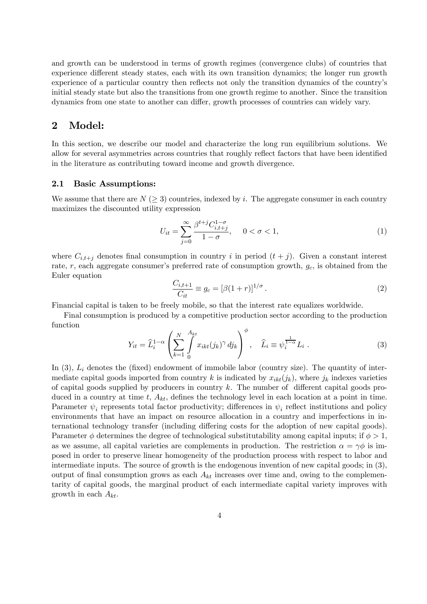and growth can be understood in terms of growth regimes (convergence clubs) of countries that experience different steady states, each with its own transition dynamics; the longer run growth experience of a particular country then reflects not only the transition dynamics of the country's initial steady state but also the transitions from one growth regime to another. Since the transition dynamics from one state to another can differ, growth processes of countries can widely vary.

### 2 Model:

In this section, we describe our model and characterize the long run equilibrium solutions. We allow for several asymmetries across countries that roughly reflect factors that have been identified in the literature as contributing toward income and growth divergence.

### 2.1 Basic Assumptions:

We assume that there are  $N \geq 3$  countries, indexed by i. The aggregate consumer in each country maximizes the discounted utility expression

$$
U_{it} = \sum_{j=0}^{\infty} \frac{\beta^{t+j} C_{i,t+j}^{1-\sigma}}{1-\sigma}, \quad 0 < \sigma < 1,
$$
 (1)

where  $C_{i,t+j}$  denotes final consumption in country i in period  $(t+j)$ . Given a constant interest rate,  $r$ , each aggregate consumer's preferred rate of consumption growth,  $g_c$ , is obtained from the Euler equation

$$
\frac{C_{i,t+1}}{C_{it}} \equiv g_c = [\beta(1+r)]^{1/\sigma} \,. \tag{2}
$$

Financial capital is taken to be freely mobile, so that the interest rate equalizes worldwide.

Final consumption is produced by a competitive production sector according to the production function

$$
Y_{it} = \widehat{L}_i^{1-\alpha} \left( \sum_{k=1}^N \int_0^{A_{kt}} x_{ikt}(j_k)^\gamma \, dj_k \right)^\phi, \quad \widehat{L}_i \equiv \psi_i^{\frac{1}{1-\alpha}} L_i \ . \tag{3}
$$

In  $(3)$ ,  $L_i$  denotes the (fixed) endowment of immobile labor (country size). The quantity of intermediate capital goods imported from country k is indicated by  $x_{ikt}(j_k)$ , where  $j_k$  indexes varieties of capital goods supplied by producers in country  $k$ . The number of different capital goods produced in a country at time t,  $A_{kt}$ , defines the technology level in each location at a point in time. Parameter  $\psi_i$  represents total factor productivity; differences in  $\psi_i$  reflect institutions and policy environments that have an impact on resource allocation in a country and imperfections in international technology transfer (including differing costs for the adoption of new capital goods). Parameter  $\phi$  determines the degree of technological substitutability among capital inputs; if  $\phi > 1$ , as we assume, all capital varieties are complements in production. The restriction  $\alpha = \gamma \phi$  is imposed in order to preserve linear homogeneity of the production process with respect to labor and intermediate inputs. The source of growth is the endogenous invention of new capital goods; in (3), output of final consumption grows as each  $A_{kt}$  increases over time and, owing to the complementarity of capital goods, the marginal product of each intermediate capital variety improves with growth in each  $A_{kt}$ .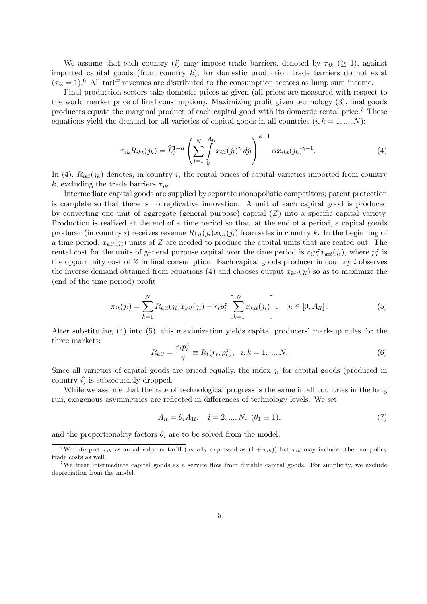We assume that each country (i) may impose trade barriers, denoted by  $\tau_{ik}$  ( $\geq$  1), against imported capital goods (from country  $k$ ); for domestic production trade barriers do not exist  $(\tau_{ii} = 1)^6$  All tariff revenues are distributed to the consumption sectors as lump sum income.

Final production sectors take domestic prices as given (all prices are measured with respect to the world market price of final consumption). Maximizing profit given technology (3), final goods producers equate the marginal product of each capital good with its domestic rental price.7 These equations yield the demand for all varieties of capital goods in all countries  $(i, k = 1, ..., N)$ :

$$
\tau_{ik} R_{ikt}(j_k) = \widehat{L}_i^{1-\alpha} \left( \sum_{l=1}^N \int_{0}^{A_{lt}} x_{ilt}(j_l)^{\gamma} dj_l \right)^{\phi-1} \alpha x_{ikt}(j_k)^{\gamma-1}.
$$
\n(4)

In (4),  $R_{ikt}(j_k)$  denotes, in country i, the rental prices of capital varieties imported from country k, excluding the trade barriers  $\tau_{ik}$ .

Intermediate capital goods are supplied by separate monopolistic competitors; patent protection is complete so that there is no replicative innovation. A unit of each capital good is produced by converting one unit of aggregate (general purpose) capital  $(Z)$  into a specific capital variety. Production is realized at the end of a time period so that, at the end of a period, a capital goods producer (in country i) receives revenue  $R_{kit}(j_i)x_{kit}(j_i)$  from sales in country k. In the beginning of a time period,  $x_{kit}(j_i)$  units of Z are needed to produce the capital units that are rented out. The rental cost for the units of general purpose capital over the time period is  $r_t p_t^z x_{kit}(j_i)$ , where  $p_t^z$  is the opportunity cost of  $Z$  in final consumption. Each capital goods producer in country  $i$  observes the inverse demand obtained from equations (4) and chooses output  $x_{kit}(j_i)$  so as to maximize the (end of the time period) profit

$$
\pi_{it}(j_i) = \sum_{k=1}^{N} R_{kit}(j_i) x_{kit}(j_i) - r_t p_t^z \left[ \sum_{k=1}^{N} x_{kit}(j_i) \right], \quad j_i \in [0, A_{it}].
$$
\n(5)

After substituting (4) into (5), this maximization yields capital producers' mark-up rules for the three markets:

$$
R_{kit} = \frac{r_t p_t^z}{\gamma} \equiv R_t(r_t, p_t^z), \quad i, k = 1, ..., N.
$$
 (6)

Since all varieties of capital goods are priced equally, the index  $j_i$  for capital goods (produced in country i) is subsequently dropped.

While we assume that the rate of technological progress is the same in all countries in the long run, exogenous asymmetries are reflected in differences of technology levels. We set

$$
A_{it} = \theta_i A_{1t}, \quad i = 2, ..., N, \ (\theta_1 \equiv 1), \tag{7}
$$

and the proportionality factors  $\theta_i$  are to be solved from the model.

<sup>&</sup>lt;sup>6</sup>We interpret  $\tau_{ik}$  as an ad valorem tariff (usually expressed as  $(1 + \tau_{ik})$ ) but  $\tau_{ik}$  may include other nonpolicy trade costs as well.

<sup>7</sup>We treat intermediate capital goods as a service flow from durable capital goods. For simplicity, we exclude depreciation from the model.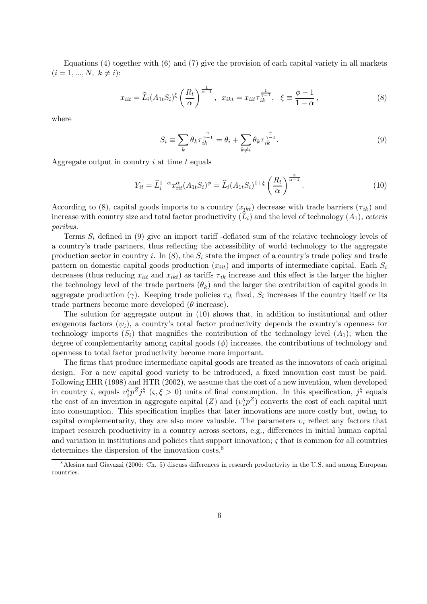Equations  $(4)$  together with  $(6)$  and  $(7)$  give the provision of each capital variety in all markets  $(i = 1, ..., N, k \neq i)$ :

$$
x_{iit} = \widehat{L}_i (A_{1t} S_i)^\xi \left(\frac{R_t}{\alpha}\right)^{\frac{1}{\alpha - 1}}, \quad x_{ikt} = x_{iit} \tau_{ik}^{\frac{1}{\gamma - 1}}, \quad \xi \equiv \frac{\phi - 1}{1 - \alpha}, \tag{8}
$$

where

$$
S_i \equiv \sum_k \theta_k \tau_{ik}^{\frac{\gamma}{\gamma - 1}} = \theta_i + \sum_{k \neq i} \theta_k \tau_{ik}^{\frac{\gamma}{\gamma - 1}}.
$$
\n(9)

Aggregate output in country  $i$  at time  $t$  equals

$$
Y_{it} = \widehat{L}_i^{1-\alpha} x_{iit}^{\alpha} (A_{1t} S_i)^{\phi} = \widehat{L}_i (A_{1t} S_i)^{1+\xi} \left(\frac{R_t}{\alpha}\right)^{\frac{\alpha}{\alpha-1}}.
$$
\n(10)

According to (8), capital goods imports to a country  $(x_{ikt})$  decrease with trade barriers  $(\tau_{ik})$  and increase with country size and total factor productivity  $(L_i)$  and the level of technology  $(A_1)$ , ceteris paribus.

Terms  $S_i$  defined in (9) give an import tariff-deflated sum of the relative technology levels of a country's trade partners, thus reflecting the accessibility of world technology to the aggregate production sector in country i. In  $(8)$ , the  $S_i$  state the impact of a country's trade policy and trade pattern on domestic capital goods production  $(x_{iit})$  and imports of intermediate capital. Each  $S_i$ decreases (thus reducing  $x_{iit}$  and  $x_{ikt}$ ) as tariffs  $\tau_{ik}$  increase and this effect is the larger the higher the technology level of the trade partners  $(\theta_k)$  and the larger the contribution of capital goods in aggregate production (γ). Keeping trade policies  $\tau_{ik}$  fixed,  $S_i$  increases if the country itself or its trade partners become more developed  $(\theta$  increase).

The solution for aggregate output in (10) shows that, in addition to institutional and other exogenous factors  $(\psi_i)$ , a country's total factor productivity depends the country's openness for technology imports  $(S_i)$  that magnifies the contribution of the technology level  $(A_1)$ ; when the degree of complementarity among capital goods  $(\phi)$  increases, the contributions of technology and openness to total factor productivity become more important.

The firms that produce intermediate capital goods are treated as the innovators of each original design. For a new capital good variety to be introduced, a fixed innovation cost must be paid. Following EHR (1998) and HTR (2002), we assume that the cost of a new invention, when developed in country *i*, equals  $v_i^S p^Z j^{\xi}$  ( $\varsigma, \xi > 0$ ) units of final consumption. In this specification,  $j^{\xi}$  equals the cost of an invention in aggregate capital  $(Z)$  and  $(v_i^c p^Z)$  converts the cost of each capital unit into consumption. This specification implies that later innovations are more costly but, owing to capital complementarity, they are also more valuable. The parameters  $v_i$  reflect any factors that impact research productivity in a country across sectors, e.g., differences in initial human capital and variation in institutions and policies that support innovation;  $\varsigma$  that is common for all countries determines the dispersion of the innovation costs.<sup>8</sup>

<sup>&</sup>lt;sup>8</sup> Alesina and Giavazzi (2006: Ch. 5) discuss differences in research productivity in the U.S. and among European countries.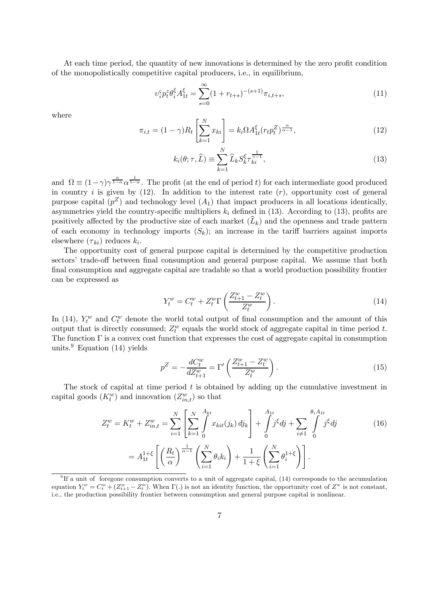At each time period, the quantity of new innovations is determined by the zero profit condition of the monopolistically competitive capital producers, i.e., in equilibrium,

$$
\upsilon_i^{\varsigma} p_t^z \theta_i^{\xi} A_{1t}^{\xi} = \sum_{s=0}^{\infty} (1 + r_{t+s})^{-(s+1)} \pi_{i,t+s},\tag{11}
$$

where

$$
\pi_{i,t} = (1 - \gamma) R_t \left[ \sum_{k=1}^{N} x_{ki} \right] = k_i \Omega A_{1t}^{\xi} (r_t p_t^Z)^{\frac{\alpha}{\alpha - 1}}, \tag{12}
$$

$$
k_i(\theta; \tau, \hat{L}) \equiv \sum_{k=1}^{N} \hat{L}_k S_k^{\xi} \tau_{ki}^{\frac{1}{\gamma - 1}},
$$
\n(13)

and  $\Omega \equiv (1 - \gamma) \gamma^{\frac{\alpha}{1 - \alpha}} \alpha^{\frac{1}{1 - \alpha}}$ . The profit (at the end of period t) for each intermediate good produced in country i is given by  $(12)$ . In addition to the interest rate  $(r)$ , opportunity cost of general purpose capital  $(p^Z)$  and technology level  $(A_1)$  that impact producers in all locations identically, asymmetries yield the country-specific multipliers  $k_i$  defined in (13). According to (13), profits are positively affected by the productive size of each market  $(L_k)$  and the openness and trade pattern of each economy in technology imports  $(S_k)$ ; an increase in the tariff barriers against imports elsewhere  $(\tau_{ki})$  reduces  $k_i$ .

The opportunity cost of general purpose capital is determined by the competitive production sectors' trade-off between final consumption and general purpose capital. We assume that both final consumption and aggregate capital are tradable so that a world production possibility frontier can be expressed as

$$
Y_t^w = C_t^w + Z_t^w \Gamma \left( \frac{Z_{t+1}^w - Z_t^w}{Z_t^w} \right). \tag{14}
$$

In (14),  $Y_t^w$  and  $C_t^w$  denote the world total output of final consumption and the amount of this output that is directly consumed;  $Z_t^w$  equals the world stock of aggregate capital in time period t. The function  $\Gamma$  is a convex cost function that expresses the cost of aggregate capital in consumption units.<sup>9</sup> Equation (14) yields

$$
p^Z = -\frac{dC_t^w}{dZ_{t+1}^w} = \Gamma' \left( \frac{Z_{t+1}^w - Z_t^w}{Z_t^w} \right). \tag{15}
$$

The stock of capital at time period  $t$  is obtained by adding up the cumulative investment in capital goods  $(K_t^w)$  and innovation  $(Z_{in,t}^w)$  so that

$$
Z_t^w = K_t^w + Z_{in,t}^w = \sum_{i=1}^N \left[ \sum_{k=1}^N \int_0^{A_{kt}} x_{kit}(j_k) \, dj_k \right] + \int_0^{A_{1t}} j^{\xi} dj + \sum_{i \neq 1} \int_0^{\theta_i A_{1t}} j^{\xi} dj
$$

$$
= A_{1t}^{1+\xi} \left[ \left( \frac{R_t}{\alpha} \right)^{\frac{1}{\alpha-1}} \left( \sum_{i=1}^N \theta_i k_i \right) + \frac{1}{1+\xi} \left( \sum_{i=1}^N \theta_i^{1+\xi} \right) \right].
$$
 (16)

 $9$ If a unit of foregone consumption converts to a unit of aggregate capital, (14) corresponds to the accumulation equation  $Y_t^w = C_t^w + (Z_{t+1}^w - Z_t^w)$ . When  $\Gamma(.)$  is not an identity function, the opportunity cost of  $Z^w$  is not constant, i.e., the production possibility frontier between consumption and general purpose capital is nonlinear.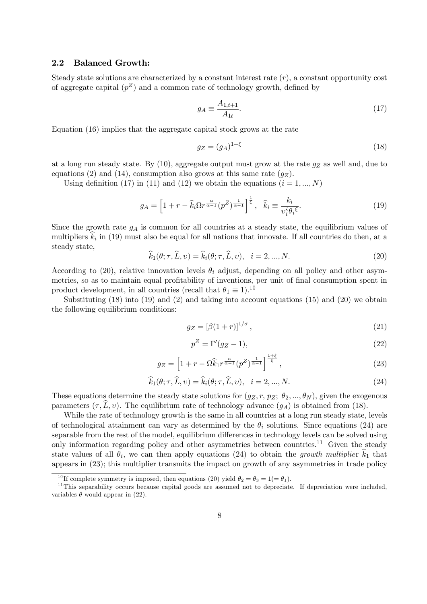### 2.2 Balanced Growth:

Steady state solutions are characterized by a constant interest rate  $(r)$ , a constant opportunity cost of aggregate capital  $(p^Z)$  and a common rate of technology growth, defined by

$$
g_A \equiv \frac{A_{1,t+1}}{A_{1t}}.\tag{17}
$$

Equation (16) implies that the aggregate capital stock grows at the rate

$$
g_Z = (g_A)^{1+\xi} \tag{18}
$$

at a long run steady state. By  $(10)$ , aggregate output must grow at the rate  $g_Z$  as well and, due to equations (2) and (14), consumption also grows at this same rate  $(q_Z)$ .

Using definition (17) in (11) and (12) we obtain the equations  $(i = 1, ..., N)$ 

$$
g_A = \left[1 + r - \widehat{k}_i \Omega r^{\frac{\alpha}{\alpha - 1}} (p^Z)^{\frac{1}{\alpha - 1}}\right]^{\frac{1}{\xi}}, \quad \widehat{k}_i \equiv \frac{k_i}{\upsilon_i^{\varsigma} \theta_i \xi}.
$$
 (19)

Since the growth rate  $g_A$  is common for all countries at a steady state, the equilibrium values of multipliers  $k_i$  in (19) must also be equal for all nations that innovate. If all countries do then, at a steady state,

$$
\widehat{k}_1(\theta; \tau, \widehat{L}, v) = \widehat{k}_i(\theta; \tau, \widehat{L}, v), \quad i = 2, ..., N. \tag{20}
$$

According to (20), relative innovation levels  $\theta_i$  adjust, depending on all policy and other asymmetries, so as to maintain equal profitability of inventions, per unit of final consumption spent in product development, in all countries (recall that  $\theta_1 \equiv 1$ ).<sup>10</sup>

Substituting  $(18)$  into  $(19)$  and  $(2)$  and taking into account equations  $(15)$  and  $(20)$  we obtain the following equilibrium conditions:

$$
g_Z = \left[\beta(1+r)\right]^{1/\sigma},\tag{21}
$$

$$
p^Z = \Gamma'(g_Z - 1),\tag{22}
$$

$$
g_Z = \left[1 + r - \Omega \widehat{k}_1 r^{\frac{\alpha}{\alpha - 1}} (p^Z)^{\frac{1}{\alpha - 1}}\right]^{\frac{1+\xi}{\xi}},\tag{23}
$$

$$
\widehat{k}_1(\theta; \tau, \widehat{L}, v) = \widehat{k}_i(\theta; \tau, \widehat{L}, v), \quad i = 2, ..., N. \tag{24}
$$

These equations determine the steady state solutions for  $(g_Z, r, p_Z; \theta_2, ..., \theta_N)$ , given the exogenous parameters  $(\tau, L, v)$ . The equilibrium rate of technology advance  $(q_A)$  is obtained from (18).

While the rate of technology growth is the same in all countries at a long run steady state, levels of technological attainment can vary as determined by the  $\theta_i$  solutions. Since equations (24) are separable from the rest of the model, equilibrium differences in technology levels can be solved using only information regarding policy and other asymmetries between countries.<sup>11</sup> Given the steady state values of all  $\theta_i$ , we can then apply equations (24) to obtain the growth multiplier  $\hat{k}_1$  that appears in (23); this multiplier transmits the impact on growth of any asymmetries in trade policy

<sup>&</sup>lt;sup>10</sup> If complete symmetry is imposed, then equations (20) yield  $\theta_2 = \theta_3 = 1 (= \theta_1)$ .

 $11$ This separability occurs because capital goods are assumed not to depreciate. If depreciation were included, variables  $\theta$  would appear in (22).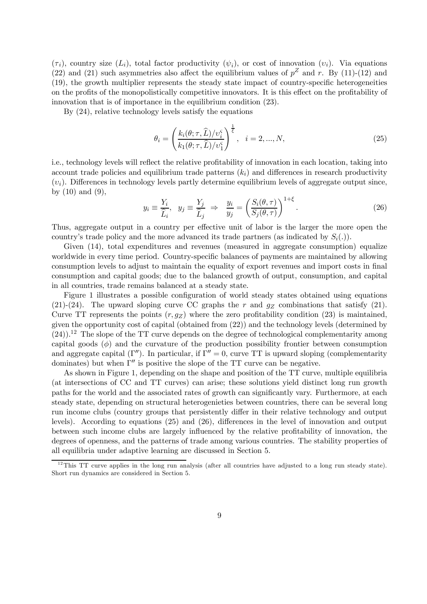$(\tau_i)$ , country size  $(L_i)$ , total factor productivity  $(\psi_i)$ , or cost of innovation  $(v_i)$ . Via equations (22) and (21) such asymmetries also affect the equilibrium values of  $p^Z$  and r. By (11)-(12) and (19), the growth multiplier represents the steady state impact of country-specific heterogeneities on the profits of the monopolistically competitive innovators. It is this effect on the profitability of innovation that is of importance in the equilibrium condition (23).

By (24), relative technology levels satisfy the equations

$$
\theta_i = \left(\frac{k_i(\theta; \tau, \widehat{L})/v_i^{\varsigma}}{k_1(\theta; \tau, \widehat{L})/v_1^{\varsigma}}\right)^{\frac{1}{\overline{\varsigma}}}, \quad i = 2, ..., N,
$$
\n(25)

i.e., technology levels will reflect the relative profitability of innovation in each location, taking into account trade policies and equilibrium trade patterns  $(k<sub>i</sub>)$  and differences in research productivity  $(v_i)$ . Differences in technology levels partly determine equilibrium levels of aggregate output since, by  $(10)$  and  $(9)$ ,

$$
y_i \equiv \frac{Y_i}{\widehat{L}_i}, \quad y_j \equiv \frac{Y_j}{\widehat{L}_j} \Rightarrow \frac{y_i}{y_j} = \left(\frac{S_i(\theta, \tau)}{S_j(\theta, \tau)}\right)^{1+\xi}.\tag{26}
$$

Thus, aggregate output in a country per effective unit of labor is the larger the more open the country's trade policy and the more advanced its trade partners (as indicated by  $S_i(.)$ ).

Given (14), total expenditures and revenues (measured in aggregate consumption) equalize worldwide in every time period. Country-specific balances of payments are maintained by allowing consumption levels to adjust to maintain the equality of export revenues and import costs in final consumption and capital goods; due to the balanced growth of output, consumption, and capital in all countries, trade remains balanced at a steady state.

Figure 1 illustrates a possible configuration of world steady states obtained using equations (21)-(24). The upward sloping curve CC graphs the r and  $g_Z$  combinations that satisfy (21). Curve TT represents the points  $(r, qz)$  where the zero profitability condition (23) is maintained, given the opportunity cost of capital (obtained from (22)) and the technology levels (determined by  $(24)$ .<sup>12</sup> The slope of the TT curve depends on the degree of technological complementarity among capital goods  $(\phi)$  and the curvature of the production possibility frontier between consumption and aggregate capital (Γ''). In particular, if  $\Gamma'' = 0$ , curve TT is upward sloping (complementarity dominates) but when  $\Gamma''$  is positive the slope of the TT curve can be negative.

As shown in Figure 1, depending on the shape and position of the TT curve, multiple equilibria (at intersections of CC and TT curves) can arise; these solutions yield distinct long run growth paths for the world and the associated rates of growth can significantly vary. Furthermore, at each steady state, depending on structural heterogenieties between countries, there can be several long run income clubs (country groups that persistently differ in their relative technology and output levels). According to equations (25) and (26), differences in the level of innovation and output between such income clubs are largely influenced by the relative profitability of innovation, the degrees of openness, and the patterns of trade among various countries. The stability properties of all equilibria under adaptive learning are discussed in Section 5.

 $12$ This TT curve applies in the long run analysis (after all countries have adjusted to a long run steady state). Short run dynamics are considered in Section 5.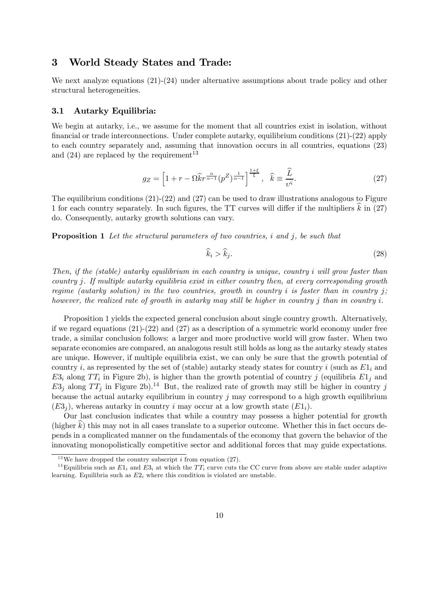### 3 World Steady States and Trade:

We next analyze equations  $(21)-(24)$  under alternative assumptions about trade policy and other structural heterogeneities.

#### 3.1 Autarky Equilibria:

We begin at autarky, i.e., we assume for the moment that all countries exist in isolation, without financial or trade interconnections. Under complete autarky, equilibrium conditions (21)-(22) apply to each country separately and, assuming that innovation occurs in all countries, equations (23) and  $(24)$  are replaced by the requirement<sup>13</sup>

$$
g_Z = \left[1 + r - \Omega \widehat{k} r^{\frac{\alpha}{\alpha - 1}} (p^Z)^{\frac{1}{\alpha - 1}}\right]^{\frac{1+\xi}{\xi}}, \quad \widehat{k} \equiv \frac{\widehat{L}}{v^{\varsigma}}.
$$
 (27)

The equilibrium conditions (21)-(22) and (27) can be used to draw illustrations analogous to Figure 1 for each country separately. In such figures, the TT curves will differ if the multipliers  $k$  in (27) do. Consequently, autarky growth solutions can vary.

**Proposition 1** Let the structural parameters of two countries, i and j, be such that

$$
\widehat{k}_i > \widehat{k}_j. \tag{28}
$$

Then, if the (stable) autarky equilibrium in each country is unique, country i will grow faster than country j. If multiple autarky equilibria exist in either country then, at every corresponding growth regime (autarky solution) in the two countries, growth in country i is faster than in country j; however, the realized rate of growth in autarky may still be higher in country j than in country i.

Proposition 1 yields the expected general conclusion about single country growth. Alternatively, if we regard equations (21)-(22) and (27) as a description of a symmetric world economy under free trade, a similar conclusion follows: a larger and more productive world will grow faster. When two separate economies are compared, an analogous result still holds as long as the autarky steady states are unique. However, if multiple equilibria exist, we can only be sure that the growth potential of country i, as represented by the set of (stable) autarky steady states for country i (such as  $E1_i$  and  $E3_i$  along  $TT_i$  in Figure 2b), is higher than the growth potential of country j (equilibria  $E1_j$  and  $E3<sub>j</sub>$  along  $TT<sub>j</sub>$  in Figure 2b).<sup>14</sup> But, the realized rate of growth may still be higher in country j because the actual autarky equilibrium in country  $j$  may correspond to a high growth equilibrium  $(E3_i)$ , whereas autarky in country i may occur at a low growth state  $(E1_i)$ .

Our last conclusion indicates that while a country may possess a higher potential for growth  $(higher k)$  this may not in all cases translate to a superior outcome. Whether this in fact occurs depends in a complicated manner on the fundamentals of the economy that govern the behavior of the innovating monopolistically competitive sector and additional forces that may guide expectations.

<sup>&</sup>lt;sup>13</sup>We have dropped the country subscript *i* from equation (27).

<sup>&</sup>lt;sup>14</sup>Equilibria such as  $E1_i$  and  $E3_i$  at which the TT<sub>i</sub> curve cuts the CC curve from above are stable under adaptive learning. Equilibria such as  $E2<sub>i</sub>$  where this condition is violated are unstable.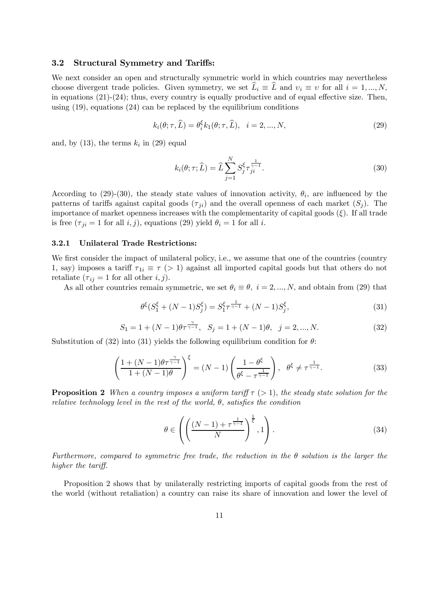#### 3.2 Structural Symmetry and Tariffs:

We next consider an open and structurally symmetric world in which countries may nevertheless choose divergent trade policies. Given symmetry, we set  $\hat{L}_i \equiv \hat{L}$  and  $v_i \equiv v$  for all  $i = 1, ..., N$ , in equations  $(21)-(24)$ ; thus, every country is equally productive and of equal effective size. Then, using  $(19)$ , equations  $(24)$  can be replaced by the equilibrium conditions

$$
k_i(\theta; \tau, \widehat{L}) = \theta_i^{\xi} k_1(\theta; \tau, \widehat{L}), \quad i = 2, ..., N,
$$
\n(29)

and, by  $(13)$ , the terms  $k_i$  in  $(29)$  equal

$$
k_i(\theta; \tau; \widehat{L}) = \widehat{L} \sum_{j=1}^N S_j^{\xi} \tau_{ji}^{\frac{1}{\gamma - 1}}.
$$
\n(30)

According to (29)-(30), the steady state values of innovation activity,  $\theta_i$ , are influenced by the patterns of tariffs against capital goods  $(\tau_{ji})$  and the overall openness of each market  $(S_i)$ . The importance of market openness increases with the complementarity of capital goods  $(\xi)$ . If all trade is free  $(\tau_{ji} = 1$  for all  $i, j)$ , equations (29) yield  $\theta_i = 1$  for all i.

#### 3.2.1 Unilateral Trade Restrictions:

We first consider the impact of unilateral policy, i.e., we assume that one of the countries (country 1, say) imposes a tariff  $\tau_{1i} \equiv \tau$  (> 1) against all imported capital goods but that others do not retaliate  $(\tau_{ij} = 1$  for all other  $i, j$ ).

As all other countries remain symmetric, we set  $\theta_i \equiv \theta$ ,  $i = 2, ..., N$ , and obtain from (29) that

$$
\theta^{\xi}(S_1^{\xi} + (N-1)S_j^{\xi}) = S_1^{\xi} \tau^{\frac{1}{\gamma - 1}} + (N-1)S_j^{\xi},\tag{31}
$$

$$
S_1 = 1 + (N - 1)\theta \tau^{\frac{\gamma}{\gamma - 1}}, \quad S_j = 1 + (N - 1)\theta, \quad j = 2, ..., N. \tag{32}
$$

Substitution of (32) into (31) yields the following equilibrium condition for  $\theta$ :

$$
\left(\frac{1+(N-1)\theta\tau^{\frac{\gamma}{\gamma-1}}}{1+(N-1)\theta}\right)^{\xi} = (N-1)\left(\frac{1-\theta^{\xi}}{\theta^{\xi}-\tau^{\frac{1}{\gamma-1}}}\right), \quad \theta^{\xi} \neq \tau^{\frac{1}{\gamma-1}}.
$$
\n(33)

**Proposition 2** When a country imposes a uniform tariff  $\tau$  (> 1), the steady state solution for the relative technology level in the rest of the world,  $\theta$ , satisfies the condition

$$
\theta \in \left( \left( \frac{(N-1) + \tau^{\frac{1}{\gamma-1}}}{N} \right)^{\frac{1}{\xi}}, 1 \right). \tag{34}
$$

Furthermore, compared to symmetric free trade, the reduction in the  $\theta$  solution is the larger the higher the tariff.

Proposition 2 shows that by unilaterally restricting imports of capital goods from the rest of the world (without retaliation) a country can raise its share of innovation and lower the level of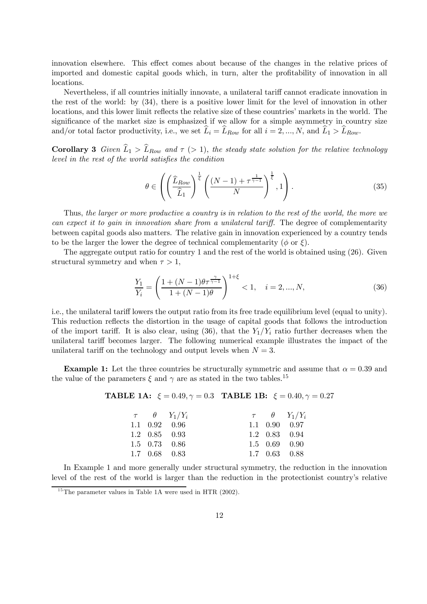innovation elsewhere. This effect comes about because of the changes in the relative prices of imported and domestic capital goods which, in turn, alter the profitability of innovation in all locations.

Nevertheless, if all countries initially innovate, a unilateral tariff cannot eradicate innovation in the rest of the world: by (34), there is a positive lower limit for the level of innovation in other locations, and this lower limit reflects the relative size of these countries' markets in the world. The significance of the market size is emphasized if we allow for a simple asymmetry in country size and/or total factor productivity, i.e., we set  $\widehat{L}_i = \widehat{L}_{Row}$  for all  $i = 2, ..., N$ , and  $\widehat{L}_1 > \widehat{L}_{Row}$ .

**Corollary 3** Given  $\widehat{L}_1 > \widehat{L}_{Row}$  and  $\tau > 1$ , the steady state solution for the relative technology level in the rest of the world satisfies the condition

$$
\theta \in \left( \left( \frac{\widehat{L}_{Row}}{\widehat{L}_1} \right)^{\frac{1}{\xi}} \left( \frac{(N-1) + \tau^{\frac{1}{\gamma-1}}}{N} \right)^{\frac{1}{\xi}}, 1 \right). \tag{35}
$$

Thus, the larger or more productive a country is in relation to the rest of the world, the more we can expect it to gain in innovation share from a unilateral tariff. The degree of complementarity between capital goods also matters. The relative gain in innovation experienced by a country tends to be the larger the lower the degree of technical complementarity ( $\phi$  or  $\xi$ ).

The aggregate output ratio for country 1 and the rest of the world is obtained using (26). Given structural symmetry and when  $\tau > 1$ ,

$$
\frac{Y_1}{Y_i} = \left(\frac{1 + (N-1)\theta\tau^{\frac{\gamma}{\gamma-1}}}{1 + (N-1)\theta}\right)^{1+\xi} < 1, \quad i = 2, \dots, N,\tag{36}
$$

i.e., the unilateral tariff lowers the output ratio from its free trade equilibrium level (equal to unity). This reduction reflects the distortion in the usage of capital goods that follows the introduction of the import tariff. It is also clear, using  $(36)$ , that the  $Y_1/Y_i$  ratio further decreases when the unilateral tariff becomes larger. The following numerical example illustrates the impact of the unilateral tariff on the technology and output levels when  $N = 3$ .

**Example 1:** Let the three countries be structurally symmetric and assume that  $\alpha = 0.39$  and the value of the parameters  $\xi$  and  $\gamma$  are as stated in the two tables.<sup>15</sup>

#### TABLE 1A:  $\xi = 0.49, \gamma = 0.3$  TABLE 1B:  $\xi = 0.40, \gamma = 0.27$

|  | $\tau$ $\theta$ $Y_1/Y_i$   |  | $\tau$ $\theta$ $Y_1/Y_i$   |
|--|-----------------------------|--|-----------------------------|
|  | $1.1 \quad 0.92 \quad 0.96$ |  | $1.1 \quad 0.90 \quad 0.97$ |
|  | $1.2 \quad 0.85 \quad 0.93$ |  | $1.2 \quad 0.83 \quad 0.94$ |
|  | $1.5 \quad 0.73 \quad 0.86$ |  | $1.5 \quad 0.69 \quad 0.90$ |
|  | $1.7 \quad 0.68 \quad 0.83$ |  | $1.7 \quad 0.63 \quad 0.88$ |

In Example 1 and more generally under structural symmetry, the reduction in the innovation level of the rest of the world is larger than the reduction in the protectionist country's relative

 $15$ The parameter values in Table 1A were used in HTR (2002).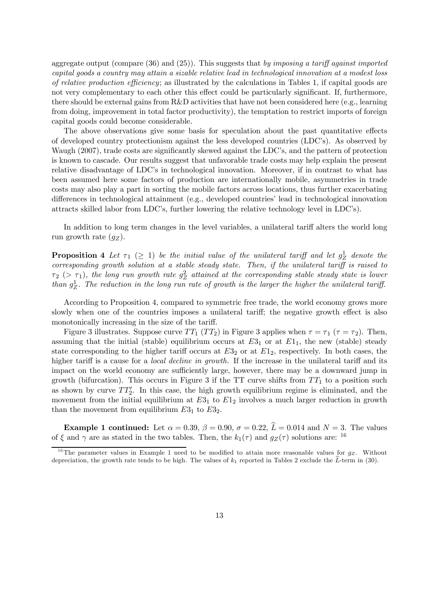aggregate output (compare  $(36)$  and  $(25)$ ). This suggests that by imposing a tariff against imported capital goods a country may attain a sizable relative lead in technological innovation at a modest loss of relative production efficiency; as illustrated by the calculations in Tables 1, if capital goods are not very complementary to each other this effect could be particularly significant. If, furthermore, there should be external gains from R&D activities that have not been considered here (e.g., learning from doing, improvement in total factor productivity), the temptation to restrict imports of foreign capital goods could become considerable.

The above observations give some basis for speculation about the past quantitative effects of developed country protectionism against the less developed countries (LDC's). As observed by Waugh (2007), trade costs are significantly skewed against the LDC's, and the pattern of protection is known to cascade. Our results suggest that unfavorable trade costs may help explain the present relative disadvantage of LDC's in technological innovation. Moreover, if in contrast to what has been assumed here some factors of production are internationally mobile, asymmetries in trade costs may also play a part in sorting the mobile factors across locations, thus further exacerbating differences in technological attainment (e.g., developed countries' lead in technological innovation attracts skilled labor from LDC's, further lowering the relative technology level in LDC's).

In addition to long term changes in the level variables, a unilateral tariff alters the world long run growth rate  $(q_Z)$ .

**Proposition 4** Let  $\tau_1$  ( $\geq$  1) be the initial value of the unilateral tariff and let  $g_Z^1$  denote the corresponding growth solution at a stable steady state. Then, if the unilateral tariff is raised to  $\tau_2$  ( $>\tau_1$ ), the long run growth rate  $g_Z^2$  attained at the corresponding stable steady state is lower than  $g_Z^1$ . The reduction in the long run rate of growth is the larger the higher the unilateral tariff.

According to Proposition 4, compared to symmetric free trade, the world economy grows more slowly when one of the countries imposes a unilateral tariff; the negative growth effect is also monotonically increasing in the size of the tariff.

Figure 3 illustrates. Suppose curve  $TT_1$   $(TT_2)$  in Figure 3 applies when  $\tau = \tau_1$  ( $\tau = \tau_2$ ). Then, assuming that the initial (stable) equilibrium occurs at  $E3_1$  or at  $E1_1$ , the new (stable) steady state corresponding to the higher tariff occurs at  $E3<sub>2</sub>$  or at  $E1<sub>2</sub>$ , respectively. In both cases, the higher tariff is a cause for a *local decline in growth*. If the increase in the unilateral tariff and its impact on the world economy are sufficiently large, however, there may be a downward jump in growth (bifurcation). This occurs in Figure 3 if the TT curve shifts from  $TT_1$  to a position such as shown by curve  $TT'_{2}$ . In this case, the high growth equilibrium regime is eliminated, and the movement from the initial equilibrium at  $E3<sub>1</sub>$  to  $E1<sub>2</sub>$  involves a much larger reduction in growth than the movement from equilibrium  $E3_1$  to  $E3_2$ .

**Example 1 continued:** Let  $\alpha = 0.39$ ,  $\beta = 0.90$ ,  $\sigma = 0.22$ ,  $\hat{L} = 0.014$  and  $N = 3$ . The values of  $\xi$  and  $\gamma$  are as stated in the two tables. Then, the  $k_1(\tau)$  and  $q_Z(\tau)$  solutions are: <sup>16</sup>

<sup>&</sup>lt;sup>16</sup>The parameter values in Example 1 need to be modified to attain more reasonable values for  $g_Z$ . Without depreciation, the growth rate tends to be high. The values of  $k_1$  reported in Tables 2 exclude the  $\hat{L}$ -term in (30).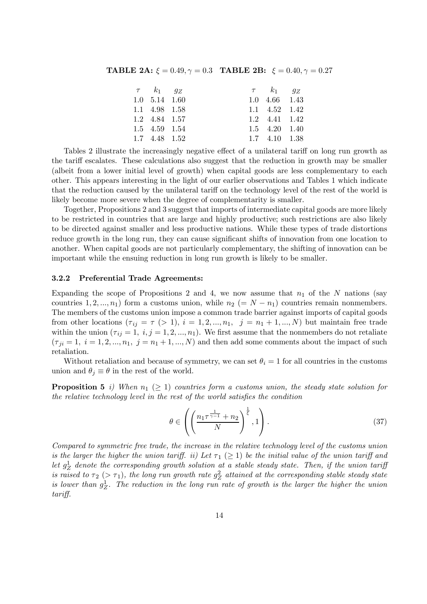**TABLE 2A:**  $\xi = 0.49, \gamma = 0.3$  **TABLE 2B:**  $\xi = 0.40, \gamma = 0.27$ 

| $\tau$ $k_1$ $q_Z$          |  | $\tau$ $k_1$ $q_Z$          |  |
|-----------------------------|--|-----------------------------|--|
| $1.0 \quad 5.14 \quad 1.60$ |  | $1.0 \quad 4.66 \quad 1.43$ |  |
| 1.1 4.98 1.58               |  | $1.1 \quad 4.52 \quad 1.42$ |  |
| 1.2 4.84 1.57               |  | 1.2 4.41 1.42               |  |
| 1.5 4.59 1.54               |  | $1.5$ $4.20$ $1.40$         |  |
| 1.7 4.48 1.52               |  | $1.7 \quad 4.10 \quad 1.38$ |  |

Tables 2 illustrate the increasingly negative effect of a unilateral tariff on long run growth as the tariff escalates. These calculations also suggest that the reduction in growth may be smaller (albeit from a lower initial level of growth) when capital goods are less complementary to each other. This appears interesting in the light of our earlier observations and Tables 1 which indicate that the reduction caused by the unilateral tariff on the technology level of the rest of the world is likely become more severe when the degree of complementarity is smaller.

Together, Propositions 2 and 3 suggest that imports of intermediate capital goods are more likely to be restricted in countries that are large and highly productive; such restrictions are also likely to be directed against smaller and less productive nations. While these types of trade distortions reduce growth in the long run, they can cause significant shifts of innovation from one location to another. When capital goods are not particularly complementary, the shifting of innovation can be important while the ensuing reduction in long run growth is likely to be smaller.

### 3.2.2 Preferential Trade Agreements:

Expanding the scope of Propositions 2 and 4, we now assume that  $n_1$  of the N nations (say countries 1, 2, ...,  $n_1$ ) form a customs union, while  $n_2$  (= N –  $n_1$ ) countries remain nonmembers. The members of the customs union impose a common trade barrier against imports of capital goods from other locations  $(\tau_{ij} = \tau \ (> 1), i = 1, 2, ..., n_1, j = n_1 + 1, ..., N)$  but maintain free trade within the union  $(\tau_{ij} = 1, i, j = 1, 2, ..., n_1)$ . We first assume that the nonmembers do not retaliate  $(\tau_{ji} = 1, i = 1, 2, ..., n_1, j = n_1 + 1, ..., N)$  and then add some comments about the impact of such retaliation.

Without retaliation and because of symmetry, we can set  $\theta_i = 1$  for all countries in the customs union and  $\theta_j \equiv \theta$  in the rest of the world.

**Proposition 5** i) When  $n_1 \geq 1$  countries form a customs union, the steady state solution for the relative technology level in the rest of the world satisfies the condition

$$
\theta \in \left( \left( \frac{n_1 \tau^{\frac{1}{\gamma - 1}} + n_2}{N} \right)^{\frac{1}{\xi}}, 1 \right). \tag{37}
$$

Compared to symmetric free trade, the increase in the relative technology level of the customs union is the larger the higher the union tariff. ii) Let  $\tau_1$  ( $\geq$  1) be the initial value of the union tariff and let  $g_Z^1$  denote the corresponding growth solution at a stable steady state. Then, if the union tarify is raised to  $\tau_2$  ( $>\tau_1$ ), the long run growth rate  $g_Z^2$  attained at the corresponding stable steady state is lower than  $g_Z^1$ . The reduction in the long run rate of growth is the larger the higher the union tariff.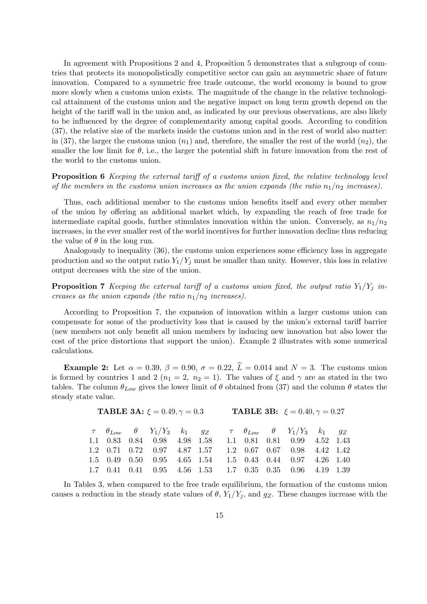In agreement with Propositions 2 and 4, Proposition 5 demonstrates that a subgroup of countries that protects its monopolistically competitive sector can gain an asymmetric share of future innovation. Compared to a symmetric free trade outcome, the world economy is bound to grow more slowly when a customs union exists. The magnitude of the change in the relative technological attainment of the customs union and the negative impact on long term growth depend on the height of the tariff wall in the union and, as indicated by our previous observations, are also likely to be influenced by the degree of complementarity among capital goods. According to condition (37), the relative size of the markets inside the customs union and in the rest of world also matter: in (37), the larger the customs union  $(n_1)$  and, therefore, the smaller the rest of the world  $(n_2)$ , the smaller the low limit for  $\theta$ , i.e., the larger the potential shift in future innovation from the rest of the world to the customs union.

Proposition 6 Keeping the external tariff of a customs union fixed, the relative technology level of the members in the customs union increases as the union expands (the ratio  $n_1/n_2$  increases).

Thus, each additional member to the customs union benefits itself and every other member of the union by offering an additional market which, by expanding the reach of free trade for intermediate capital goods, further stimulates innovation within the union. Conversely, as  $n_1/n_2$ increases, in the ever smaller rest of the world incentives for further innovation decline thus reducing the value of  $\theta$  in the long run.

Analogously to inequality (36), the customs union experiences some efficiency loss in aggregate production and so the output ratio  $Y_1/Y_j$  must be smaller than unity. However, this loss in relative output decreases with the size of the union.

**Proposition 7** Keeping the external tariff of a customs union fixed, the output ratio  $Y_1/Y_i$  increases as the union expands (the ratio  $n_1/n_2$  increases).

According to Proposition 7, the expansion of innovation within a larger customs union can compensate for some of the productivity loss that is caused by the union's external tariff barrier (new members not only benefit all union members by inducing new innovation but also lower the cost of the price distortions that support the union). Example 2 illustrates with some numerical calculations.

Example 2: Let  $\alpha = 0.39$ ,  $\beta = 0.90$ ,  $\sigma = 0.22$ ,  $\hat{L} = 0.014$  and  $N = 3$ . The customs union is formed by countries 1 and 2 ( $n_1 = 2$ ,  $n_2 = 1$ ). The values of  $\xi$  and  $\gamma$  are as stated in the two tables. The column  $\theta_{Low}$  gives the lower limit of  $\theta$  obtained from (37) and the column  $\theta$  states the steady state value.

| <b>TABLE 3A:</b> $\xi = 0.49, \gamma = 0.3$ |  |  |                                                                                                                                                       |  |  |  |  | <b>TABLE 3B:</b> $\xi = 0.40, \gamma = 0.27$ |  |
|---------------------------------------------|--|--|-------------------------------------------------------------------------------------------------------------------------------------------------------|--|--|--|--|----------------------------------------------|--|
|                                             |  |  | $\tau \quad \theta_{Low} \quad \theta \quad Y_1/Y_3 \quad k_1 \quad g_Z \quad \tau \quad \theta_{Low} \quad \theta \quad Y_1/Y_3 \quad k_1 \quad g_Z$ |  |  |  |  |                                              |  |
|                                             |  |  | 1.1 0.83 0.84 0.98 4.98 1.58 1.1 0.81 0.81 0.99 4.52 1.43                                                                                             |  |  |  |  |                                              |  |
|                                             |  |  | $1.2$ $0.71$ $0.72$ $0.97$ $4.87$ $1.57$ $1.2$ $0.67$ $0.67$ $0.98$ $4.42$ $1.42$                                                                     |  |  |  |  |                                              |  |
|                                             |  |  | 1.5 0.49 0.50 0.95 4.65 1.54 1.5 0.43 0.44 0.97 4.26 1.40                                                                                             |  |  |  |  |                                              |  |
|                                             |  |  | 1.7 0.41 0.41 0.95 4.56 1.53 1.7 0.35 0.35 0.96 4.19 1.39                                                                                             |  |  |  |  |                                              |  |

In Tables 3, when compared to the free trade equilibrium, the formation of the customs union causes a reduction in the steady state values of  $\theta$ ,  $Y_1/Y_j$ , and  $g_Z$ . These changes increase with the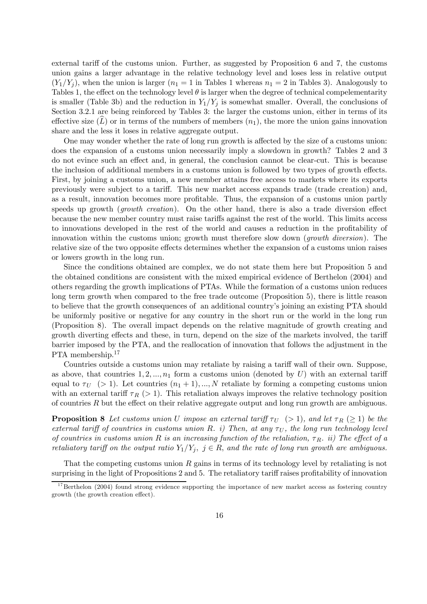external tariff of the customs union. Further, as suggested by Proposition 6 and 7, the customs union gains a larger advantage in the relative technology level and loses less in relative output  $(Y_1/Y_i)$ , when the union is larger  $(n_1 = 1$  in Tables 1 whereas  $n_1 = 2$  in Tables 3). Analogously to Tables 1, the effect on the technology level  $\theta$  is larger when the degree of technical compelementarity is smaller (Table 3b) and the reduction in  $Y_1/Y_j$  is somewhat smaller. Overall, the conclusions of Section 3.2.1 are being reinforced by Tables 3: the larger the customs union, either in terms of its effective size  $(L)$  or in terms of the numbers of members  $(n_1)$ , the more the union gains innovation share and the less it loses in relative aggregate output.

One may wonder whether the rate of long run growth is affected by the size of a customs union: does the expansion of a customs union necessarily imply a slowdown in growth? Tables 2 and 3 do not evince such an effect and, in general, the conclusion cannot be clear-cut. This is because the inclusion of additional members in a customs union is followed by two types of growth effects. First, by joining a customs union, a new member attains free access to markets where its exports previously were subject to a tariff. This new market access expands trade (trade creation) and, as a result, innovation becomes more profitable. Thus, the expansion of a customs union partly speeds up growth (growth creation). On the other hand, there is also a trade diversion effect because the new member country must raise tariffs against the rest of the world. This limits access to innovations developed in the rest of the world and causes a reduction in the profitability of innovation within the customs union; growth must therefore slow down (*growth diversion*). The relative size of the two opposite effects determines whether the expansion of a customs union raises or lowers growth in the long run.

Since the conditions obtained are complex, we do not state them here but Proposition 5 and the obtained conditions are consistent with the mixed empirical evidence of Berthelon (2004) and others regarding the growth implications of PTAs. While the formation of a customs union reduces long term growth when compared to the free trade outcome (Proposition 5), there is little reason to believe that the growth consequences of an additional country's joining an existing PTA should be uniformly positive or negative for any country in the short run or the world in the long run (Proposition 8). The overall impact depends on the relative magnitude of growth creating and growth diverting effects and these, in turn, depend on the size of the markets involved, the tariff barrier imposed by the PTA, and the reallocation of innovation that follows the adjustment in the PTA membership.<sup>17</sup>

Countries outside a customs union may retaliate by raising a tariff wall of their own. Suppose, as above, that countries  $1, 2, ..., n_1$  form a customs union (denoted by U) with an external tariff equal to  $\tau_U$  (> 1). Let countries  $(n_1 + 1), ..., N$  retaliate by forming a competing customs union with an external tariff  $\tau_R$  (> 1). This retaliation always improves the relative technology position of countries  $R$  but the effect on their relative aggregate output and long run growth are ambiguous.

**Proposition 8** Let customs union U impose an external tariff  $\tau_U$  (> 1), and let  $\tau_R$  ( $\geq$  1) be the external tariff of countries in customs union R. i) Then, at any  $\tau_U$ , the long run technology level of countries in customs union R is an increasing function of the retaliation,  $\tau_R$ . ii) The effect of a retaliatory tariff on the output ratio  $Y_1/Y_j$ ,  $j \in R$ , and the rate of long run growth are ambiguous.

That the competing customs union  $R$  gains in terms of its technology level by retaliating is not surprising in the light of Propositions 2 and 5. The retaliatory tariff raises profitability of innovation

 $17$ Berthelon (2004) found strong evidence supporting the importance of new market access as fostering country growth (the growth creation effect).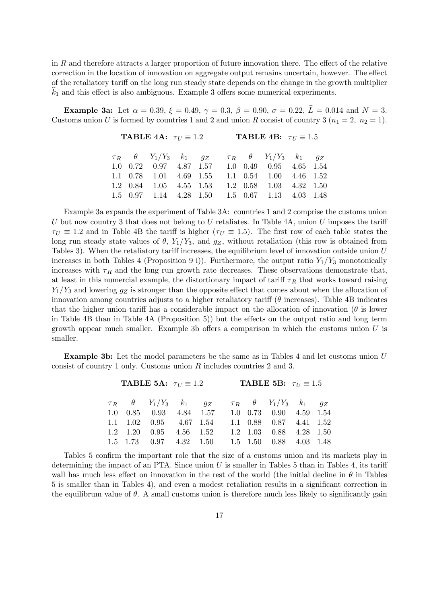in R and therefore attracts a larger proportion of future innovation there. The effect of the relative correction in the location of innovation on aggregate output remains uncertain, however. The effect of the retaliatory tariff on the long run steady state depends on the change in the growth multiplier  $k_1$  and this effect is also ambiguous. Example 3 offers some numerical experiments.

**Example 3a:** Let  $\alpha = 0.39$ ,  $\xi = 0.49$ ,  $\gamma = 0.3$ ,  $\beta = 0.90$ ,  $\sigma = 0.22$ ,  $\hat{L} = 0.014$  and  $N = 3$ . Customs union U is formed by countries 1 and 2 and union R consist of country 3 ( $n_1 = 2$ ,  $n_2 = 1$ ).

| <b>TABLE 4A:</b> $\tau_U \equiv 1.2$ |  |                                                                                 |  |  |  | <b>TABLE 4B:</b> $\tau_U \equiv 1.5$ |  |  |  |  |  |  |
|--------------------------------------|--|---------------------------------------------------------------------------------|--|--|--|--------------------------------------|--|--|--|--|--|--|
|                                      |  | $\tau_R$ $\theta$ $Y_1/Y_3$ $k_1$ $g_Z$ $\tau_R$ $\theta$ $Y_1/Y_3$ $k_1$ $g_Z$ |  |  |  |                                      |  |  |  |  |  |  |
|                                      |  | 1.0 0.72 0.97 4.87 1.57 1.0 0.49 0.95 4.65 1.54                                 |  |  |  |                                      |  |  |  |  |  |  |
|                                      |  | 1.1 0.78 1.01 4.69 1.55 1.1 0.54 1.00 4.46 1.52                                 |  |  |  |                                      |  |  |  |  |  |  |
|                                      |  | $1.2$ $0.84$ $1.05$ $4.55$ $1.53$ $1.2$ $0.58$ $1.03$ $4.32$ $1.50$             |  |  |  |                                      |  |  |  |  |  |  |
|                                      |  | 1.5 0.97 1.14 4.28 1.50 1.5 0.67 1.13 4.03 1.48                                 |  |  |  |                                      |  |  |  |  |  |  |

Example 3a expands the experiment of Table 3A: countries 1 and 2 comprise the customs union U but now country 3 that does not belong to U retaliates. In Table 4A, union U imposes the tariff  $\tau_U \equiv 1.2$  and in Table 4B the tariff is higher ( $\tau_U \equiv 1.5$ ). The first row of each table states the long run steady state values of  $\theta$ , Y<sub>1</sub>/Y<sub>3</sub>, and  $g_Z$ , without retaliation (this row is obtained from Tables 3). When the retaliatory tariff increases, the equilibrium level of innovation outside union U increases in both Tables 4 (Proposition 9 i)). Furthermore, the output ratio  $Y_1/Y_3$  monotonically increases with  $\tau_R$  and the long run growth rate decreases. These observations demonstrate that, at least in this numercial example, the distortionary impact of tariff  $\tau_R$  that works toward raising  $Y_1/Y_3$  and lowering  $g_Z$  is stronger than the opposite effect that comes about when the allocation of innovation among countries adjusts to a higher retaliatory tariff ( $\theta$  increases). Table 4B indicates that the higher union tariff has a considerable impact on the allocation of innovation  $(\theta$  is lower in Table 4B than in Table 4A (Proposition 5)) but the effects on the output ratio and long term growth appear much smaller. Example 3b offers a comparison in which the customs union  $U$  is smaller.

**Example 3b:** Let the model parameters be the same as in Tables 4 and let customs union  $U$ consist of country 1 only. Customs union  $R$  includes countries 2 and 3.

|  |                                                                                 |  | <b>TABLE 5A:</b> $\tau_U \equiv 1.2$ <b>TABLE 5B:</b> $\tau_U \equiv 1.5$ |  |  |  |  |  |
|--|---------------------------------------------------------------------------------|--|---------------------------------------------------------------------------|--|--|--|--|--|
|  | $\tau_R$ $\theta$ $Y_1/Y_3$ $k_1$ $g_Z$ $\tau_R$ $\theta$ $Y_1/Y_3$ $k_1$ $g_Z$ |  |                                                                           |  |  |  |  |  |
|  | 1.0 0.85 0.93 4.84 1.57 1.0 0.73 0.90 4.59 1.54                                 |  |                                                                           |  |  |  |  |  |
|  | 1.1 1.02 0.95 4.67 1.54 1.1 0.88 0.87 4.41 1.52                                 |  |                                                                           |  |  |  |  |  |
|  | 1.2 1.20 0.95 4.56 1.52 1.2 1.03 0.88 4.28 1.50                                 |  |                                                                           |  |  |  |  |  |
|  | $1.5$ $1.73$ $0.97$ $4.32$ $1.50$ $1.5$ $1.50$ $0.88$ $4.03$ $1.48$             |  |                                                                           |  |  |  |  |  |
|  |                                                                                 |  |                                                                           |  |  |  |  |  |

Tables 5 confirm the important role that the size of a customs union and its markets play in determining the impact of an PTA. Since union  $U$  is smaller in Tables 5 than in Tables 4, its tariff wall has much less effect on innovation in the rest of the world (the initial decline in  $\theta$  in Tables 5 is smaller than in Tables 4), and even a modest retaliation results in a significant correction in the equilibrum value of  $\theta$ . A small customs union is therefore much less likely to significantly gain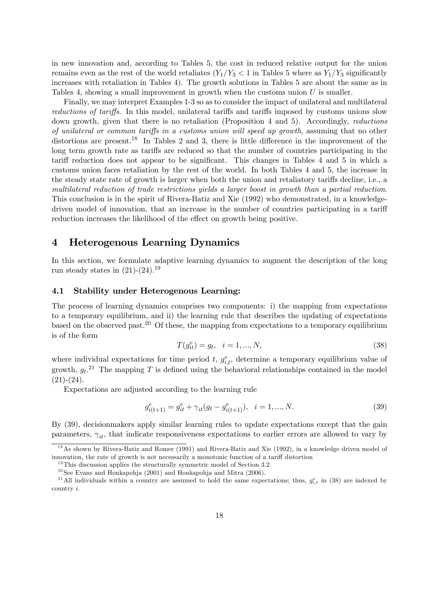in new innovation and, according to Tables 5, the cost in reduced relative output for the union remains even as the rest of the world retaliates  $(Y_1/Y_3 < 1$  in Tables 5 where as  $Y_1/Y_3$  significantly increases with retaliation in Tables 4). The growth solutions in Tables 5 are about the same as in Tables 4, showing a small improvement in growth when the customs union U is smaller.

Finally, we may interpret Examples 1-3 so as to consider the impact of unilateral and multilateral reductions of tariffs. In this model, unilateral tariffs and tariffs imposed by customs unions slow down growth, given that there is no retaliation (Proposition 4 and 5). Accordingly, *reductions* of unilateral or common tariffs in a customs union will speed up growth, assuming that no other distortions are present.<sup>18</sup> In Tables 2 and 3, there is little difference in the improvement of the long term growth rate as tariffs are reduced so that the number of countries participating in the tariff reduction does not appear to be significant. This changes in Tables 4 and 5 in which a customs union faces retaliation by the rest of the world. In both Tables 4 and 5, the increase in the steady state rate of growth is larger when both the union and retaliatory tariffs decline, i.e., a multilateral reduction of trade restrictions yields a larger boost in growth than a partial reduction. This conclusion is in the spirit of Rivera-Batiz and Xie (1992) who demonstrated, in a knowledgedriven model of innovation, that an increase in the number of countries participating in a tariff reduction increases the likelihood of the effect on growth being positive.

## 4 Heterogenous Learning Dynamics

In this section, we formulate adaptive learning dynamics to augment the description of the long run steady states in  $(21)-(24).<sup>19</sup>$ 

#### 4.1 Stability under Heterogenous Learning:

The process of learning dynamics comprises two components: i) the mapping from expectations to a temporary equilibrium, and ii) the learning rule that describes the updating of expectations based on the observed past.<sup>20</sup> Of these, the mapping from expectations to a temporary equilibrium is of the form

$$
T(g_{it}^e) = g_t, \quad i = 1, ..., N,
$$
\n(38)

where individual expectations for time period t,  $g_{i,t}^e$ , determine a temporary equilibrium value of growth,  $g_t$ <sup>21</sup> The mapping T is defined using the behavioral relationships contained in the model  $(21)-(24)$ .

Expectations are adjusted according to the learning rule

$$
g_{i(t+1)}^e = g_{it}^e + \gamma_{it}(g_t - g_{i(t+1)}^e), \quad i = 1, ..., N. \tag{39}
$$

By (39), decisionmakers apply similar learning rules to update expectations except that the gain parameters,  $\gamma_{it}$ , that indicate responsiveness expectations to earlier errors are allowed to vary by

<sup>&</sup>lt;sup>18</sup>As shown by Rivera-Batiz and Romer (1991) and Rivera-Batiz and Xie (1992), in a knowledge driven model of innovation, the rate of growth is not necessarily a monotonic function of a tariff distortion

 $19$ This discussion applies the structurally symmetric model of Section 3.2.

 $20$  See Evans and Honkapohja (2001) and Honkapohja and Mitra (2006).

<sup>&</sup>lt;sup>21</sup>All individuals within a country are assumed to hold the same expectations; thus,  $g_{i,t}^e$  in (38) are indexed by country i.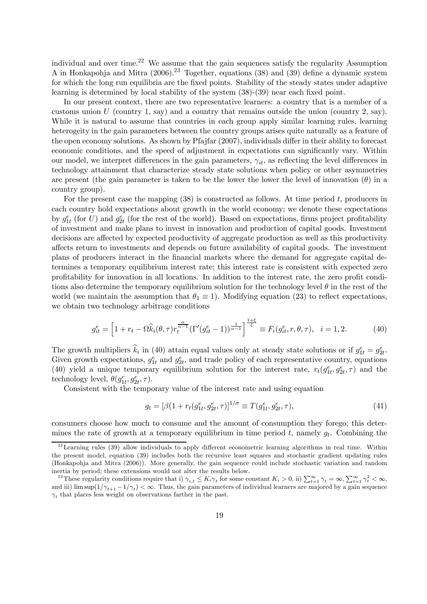individual and over time.<sup>22</sup> We assume that the gain sequences satisfy the regularity Assumption A in Honkapohja and Mitra  $(2006)$ <sup>23</sup> Together, equations (38) and (39) define a dynamic system for which the long run equilibria are the fixed points. Stability of the steady states under adaptive learning is determined by local stability of the system (38)-(39) near each fixed point.

In our present context, there are two representative learners: a country that is a member of a customs union U (country 1, say) and a country that remains outside the union (country 2, say). While it is natural to assume that countries in each group apply similar learning rules, learning heterogeity in the gain parameters between the country groups arises quite naturally as a feature of the open economy solutions. As shown by Pfajfar (2007), individuals differ in their ability to forecast economic conditions, and the speed of adjustment in expectations can significantly vary. Within our model, we interpret differences in the gain parameters,  $\gamma_{it}$ , as reflecting the level differences in technology attainment that characterize steady state solutions when policy or other asymmetries are present (the gain parameter is taken to be the lower the lower the level of innovation  $(\theta)$  in a country group).

For the present case the mapping  $(38)$  is constructed as follows. At time period t, producers in each country hold expectations about growth in the world economy; we denote these expectations by  $g_{1t}^e$  (for U) and  $g_{2t}^e$  (for the rest of the world). Based on expectations, firms project profitability of investment and make plans to invest in innovation and production of capital goods. Investment decisions are affected by expected productivity of aggregate production as well as this productivity affects return to investments and depends on future availability of capital goods. The investment plans of producers interact in the financial markets where the demand for aggregate capital determines a temporary equilibrium interest rate; this interest rate is consistent with expected zero profitability for innovation in all locations. In addition to the interest rate, the zero profit conditions also determine the temporary equilibrium solution for the technology level  $\theta$  in the rest of the world (we maintain the assumption that  $\theta_1 \equiv 1$ ). Modifying equation (23) to reflect expectations, we obtain two technology arbitrage conditions

$$
g_{it}^{e} = \left[1 + r_t - \Omega \widehat{k}_i(\theta, \tau) r_t^{\frac{\alpha}{\alpha - 1}} (\Gamma'(g_{it}^{e} - 1))^{\frac{1}{\alpha - 1}}\right]^{\frac{1 + \xi}{\xi}} \equiv F_i(g_{it}^{e}, r, \theta, \tau), \quad i = 1, 2. \tag{40}
$$

The growth multipliers  $\hat{k}_i$  in (40) attain equal values only at steady state solutions or if  $g_{1t}^e = g_{2t}^e$ . Given growth expectations,  $g_{1t}^e$  and  $g_{2t}^e$ , and trade policy of each representative country, equations (40) yield a unique temporary equilibrium solution for the interest rate,  $r_t(g_{1t}^e, g_{2t}^e, \tau)$  and the technology level,  $\theta(g_{1t}^e, g_{2t}^e, \tau)$ .

Consistent with the temporary value of the interest rate and using equation

$$
g_t = [\beta (1 + r_t (g_{1t}^e, g_{2t}^e, \tau)]^{1/\sigma} \equiv T(g_{1t}^e, g_{2t}^e, \tau), \tag{41}
$$

consumers choose how much to consume and the amount of consumption they forego; this determines the rate of growth at a temporary equilibrium in time period  $t$ , namely  $g_t$ . Combining the

 $22$  Learning rules (39) allow individuals to apply different econometric learning algorithms in real time. Within the present model, equation (39) includes both the recursive least squares and stochastic gradient updating rules (Honkapohja and Mitra (2006)). More generally, the gain sequence could include stochastic variation and random inertia by period; these extensions would not alter the results below.

<sup>&</sup>lt;sup>23</sup>These regularity conditions require that i)  $\gamma_{i,t} \leq K_i \gamma_t$  for some constant  $K_i > 0$ , ii)  $\sum_{t=1}^{\infty} \gamma_t = \infty$ ,  $\sum_{t=1}^{\infty} \gamma_t^2 < \infty$ , and iii) lim sup $(1/\gamma_{t+1} - 1/\gamma_t) < \infty$ . Thus, the gain parameters of individual learners are majored by a gain sequence  $\gamma_t$  that places less weight on observations farther in the past.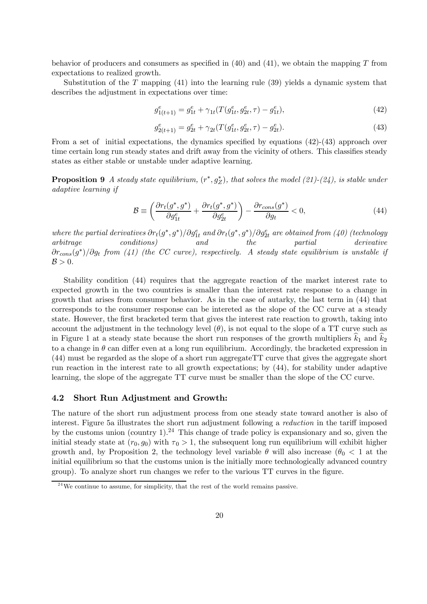behavior of producers and consumers as specified in  $(40)$  and  $(41)$ , we obtain the mapping T from expectations to realized growth.

Substitution of the  $T$  mapping (41) into the learning rule (39) yields a dynamic system that describes the adjustment in expectations over time:

$$
g_{1(t+1)}^e = g_{1t}^e + \gamma_{1t}(T(g_{1t}^e, g_{2t}^e, \tau) - g_{1t}^e), \tag{42}
$$

$$
g_{2(t+1)}^e = g_{2t}^e + \gamma_{2t}(T(g_{1t}^e, g_{2t}^e, \tau) - g_{2t}^e). \tag{43}
$$

From a set of initial expectations, the dynamics specified by equations (42)-(43) approach over time certain long run steady states and drift away from the vicinity of others. This classifies steady states as either stable or unstable under adaptive learning.

**Proposition 9** A steady state equilibrium,  $(r^*, g_Z^*)$ , that solves the model (21)-(24), is stable under adaptive learning if

$$
\mathcal{B} \equiv \left( \frac{\partial r_t(g^*, g^*)}{\partial g_{1t}^e} + \frac{\partial r_t(g^*, g^*)}{\partial g_{2t}^e} \right) - \frac{\partial r_{cons}(g^*)}{\partial g_t} < 0,\tag{44}
$$

where the partial derivatives  $\partial r_t(g^*,g^*)/\partial g_{1t}^e$  and  $\partial r_t(g^*,g^*)/\partial g_{2t}^e$  are obtained from (40) (technology arbitrage conditions) and the partial derivative  $\partial r_{cons}(g^*)/\partial g_t$  from (41) (the CC curve), respectively. A steady state equilibrium is unstable if  $\mathcal{B} > 0$ .

Stability condition (44) requires that the aggregate reaction of the market interest rate to expected growth in the two countries is smaller than the interest rate response to a change in growth that arises from consumer behavior. As in the case of autarky, the last term in (44) that corresponds to the consumer response can be intereted as the slope of the CC curve at a steady state. However, the first bracketed term that gives the interest rate reaction to growth, taking into account the adjustment in the technology level  $(\theta)$ , is not equal to the slope of a TT curve such as in Figure 1 at a steady state because the short run responses of the growth multipliers  $k_1$  and  $k_2$ to a change in  $\theta$  can differ even at a long run equilibrium. Accordingly, the bracketed expression in (44) must be regarded as the slope of a short run aggregateTT curve that gives the aggregate short run reaction in the interest rate to all growth expectations; by (44), for stability under adaptive learning, the slope of the aggregate TT curve must be smaller than the slope of the CC curve.

#### 4.2 Short Run Adjustment and Growth:

The nature of the short run adjustment process from one steady state toward another is also of interest. Figure 5a illustrates the short run adjustment following a reduction in the tariff imposed by the customs union (country 1).<sup>24</sup> This change of trade policy is expansionary and so, given the initial steady state at  $(r_0, q_0)$  with  $\tau_0 > 1$ , the subsequent long run equilibrium will exhibit higher growth and, by Proposition 2, the technology level variable  $\theta$  will also increase  $(\theta_0 < 1$  at the initial equilibrium so that the customs union is the initially more technologically advanced country group). To analyze short run changes we refer to the various TT curves in the figure.

 $^{24}$ We continue to assume, for simplicity, that the rest of the world remains passive.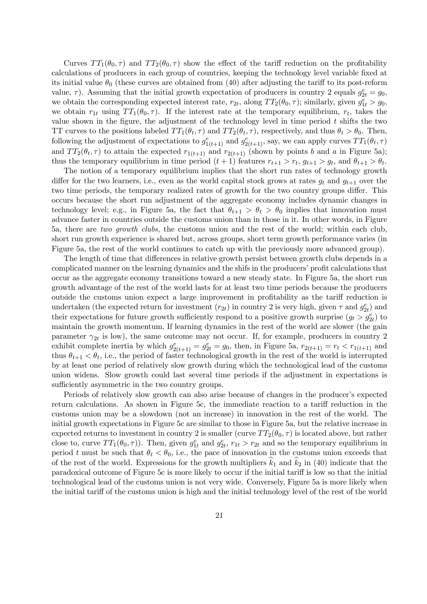Curves  $TT_1(\theta_0, \tau)$  and  $TT_2(\theta_0, \tau)$  show the effect of the tariff reduction on the profitability calculations of producers in each group of countries, keeping the technology level variable fixed at its initial value  $\theta_0$  (these curves are obtained from (40) after adjusting the tariff to its post-reform value,  $\tau$ ). Assuming that the initial growth expectation of producers in country 2 equals  $g_{2t}^e = g_0$ , we obtain the corresponding expected interest rate,  $r_{2t}$ , along  $TT_2(\theta_0, \tau)$ ; similarly, given  $g_{1t}^e > g_0$ , we obtain  $r_{1t}$  using  $TT_1(\theta_0, \tau)$ . If the interest rate at the temporary equilibrium,  $r_t$ , takes the value shown in the figure, the adjustment of the technology level in time period  $t$  shifts the two TT curves to the positions labeled  $TT_1(\theta_t, \tau)$  and  $TT_2(\theta_t, \tau)$ , respectively, and thus  $\theta_t > \theta_0$ . Then, following the adjustment of expectations to  $g_{1(t+1)}^e$  and  $g_{2(t+1)}^e$ , say, we can apply curves  $TT_1(\theta_t, \tau)$ and  $TT_2(\theta_t, \tau)$  to attain the expected  $r_{1(t+1)}$  and  $r_{2(t+1)}$  (shown by points b and a in Figure 5a); thus the temporary equilibrium in time period  $(t + 1)$  features  $r_{t+1} > r_t$ ,  $g_{t+1} > g_t$ , and  $\theta_{t+1} > \theta_t$ .

The notion of a temporary equilibrium implies that the short run rates of technology growth differ for the two learners, i.e., even as the world capital stock grows at rates  $g_t$  and  $g_{t+1}$  over the two time periods, the temporary realized rates of growth for the two country groups differ. This occurs because the short run adjustment of the aggregate economy includes dynamic changes in technology level; e.g., in Figure 5a, the fact that  $\theta_{t+1} > \theta_t > \theta_0$  implies that innovation must advance faster in countries outside the customs union than in those in it. In other words, in Figure 5a, there are two growth clubs, the customs union and the rest of the world; within each club, short run growth experience is shared but, across groups, short term growth performance varies (in Figure 5a, the rest of the world continues to catch up with the previously more advanced group).

The length of time that differences in relative growth persist between growth clubs depends in a complicated manner on the learning dynamics and the shifs in the producers' profit calculations that occur as the aggregate economy transitions toward a new steady state. In Figure 5a, the short run growth advantage of the rest of the world lasts for at least two time periods because the producers outside the customs union expect a large improvement in profitability as the tariff reduction is undertaken (the expected return for investment  $(r_{2t})$  in country 2 is very high, given  $\tau$  and  $g_{2t}^e$ ) and their expectations for future growth sufficiently respond to a positive growth surprise  $(g_t > g_{2t}^e)$  to maintain the growth momentum. If learning dynamics in the rest of the world are slower (the gain parameter  $\gamma_{2t}$  is low), the same outcome may not occur. If, for example, producers in country 2 exhibit complete inertia by which  $g_{2(t+1)}^e = g_{2t}^e = g_0$ , then, in Figure 5a,  $r_{2(t+1)} = r_t < r_{1(t+1)}$  and thus  $\theta_{t+1} < \theta_t$ , i.e., the period of faster technological growth in the rest of the world is interrupted by at least one period of relatively slow growth during which the technological lead of the customs union widens. Slow growth could last several time periods if the adjustment in expectations is sufficiently asymmetric in the two country groups.

Periods of relatively slow growth can also arise because of changes in the producer's expected return calculations. As shown in Figure 5c, the immediate reaction to a tariff reduction in the customs union may be a slowdown (not an increase) in innovation in the rest of the world. The initial growth expectations in Figure 5c are similar to those in Figure 5a, but the relative increase in expected returns to investment in country 2 is smaller (curve  $TT_2(\theta_0, \tau)$  is located above, but rather close to, curve  $TT_1(\theta_0, \tau)$ ). Then, given  $g_{1t}^e$  and  $g_{2t}^e$ ,  $r_{1t} > r_{2t}$  and so the temporary equilibrium in period t must be such that  $\theta_t < \theta_0$ , i.e., the pace of innovation in the customs union exceeds that of the rest of the world. Expressions for the growth multipliers  $k_1$  and  $k_2$  in (40) indicate that the paradoxical outcome of Figure 5c is more likely to occur if the initial tariff is low so that the initial technological lead of the customs union is not very wide. Conversely, Figure 5a is more likely when the initial tariff of the customs union is high and the initial technology level of the rest of the world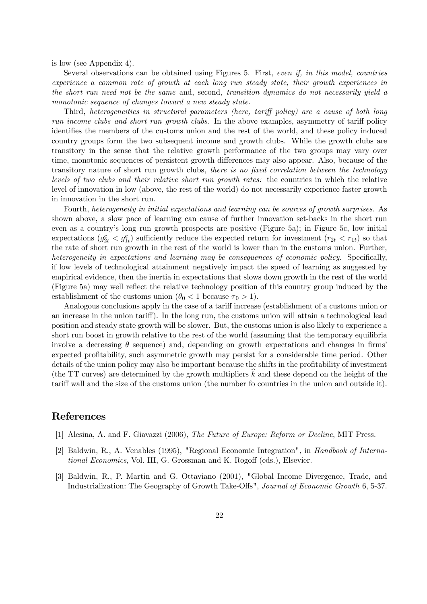is low (see Appendix 4).

Several observations can be obtained using Figures 5. First, even if, in this model, countries experience a common rate of growth at each long run steady state, their growth experiences in the short run need not be the same and, second, transition dynamics do not necessarily yield a monotonic sequence of changes toward a new steady state.

Third, heterogeneities in structural parameters (here, tariff policy) are a cause of both long run income clubs and short run growth clubs. In the above examples, asymmetry of tariff policy identifies the members of the customs union and the rest of the world, and these policy induced country groups form the two subsequent income and growth clubs. While the growth clubs are transitory in the sense that the relative growth performance of the two groups may vary over time, monotonic sequences of persistent growth differences may also appear. Also, because of the transitory nature of short run growth clubs, there is no fixed correlation between the technology levels of two clubs and their relative short run growth rates: the countries in which the relative level of innovation in low (above, the rest of the world) do not necessarily experience faster growth in innovation in the short run.

Fourth, heterogeneity in initial expectations and learning can be sources of growth surprises. As shown above, a slow pace of learning can cause of further innovation set-backs in the short run even as a country's long run growth prospects are positive (Figure 5a); in Figure 5c, low initial expectations  $(g_{2t}^e < g_{1t}^e)$  sufficiently reduce the expected return for investment  $(r_{2t} < r_{1t})$  so that the rate of short run growth in the rest of the world is lower than in the customs union. Further, heterogeneity in expectations and learning may be consequences of economic policy. Specifically, if low levels of technological attainment negatively impact the speed of learning as suggested by empirical evidence, then the inertia in expectations that slows down growth in the rest of the world (Figure 5a) may well reflect the relative technology position of this country group induced by the establishment of the customs union  $(\theta_0 < 1$  because  $\tau_0 > 1$ ).

Analogous conclusions apply in the case of a tariff increase (establishment of a customs union or an increase in the union tariff). In the long run, the customs union will attain a technological lead position and steady state growth will be slower. But, the customs union is also likely to experience a short run boost in growth relative to the rest of the world (assuming that the temporary equilibria involve a decreasing  $\theta$  sequence) and, depending on growth expectations and changes in firms' expected profitability, such asymmetric growth may persist for a considerable time period. Other details of the union policy may also be important because the shifts in the profitability of investment (the TT curves) are determined by the growth multipliers  $k$  and these depend on the height of the tariff wall and the size of the customs union (the number fo countries in the union and outside it).

## References

- [1] Alesina, A. and F. Giavazzi (2006), The Future of Europe: Reform or Decline, MIT Press.
- [2] Baldwin, R., A. Venables (1995), "Regional Economic Integration", in Handbook of International Economics, Vol. III, G. Grossman and K. Rogoff (eds.), Elsevier.
- [3] Baldwin, R., P. Martin and G. Ottaviano (2001), "Global Income Divergence, Trade, and Industrialization: The Geography of Growth Take-Offs", Journal of Economic Growth 6, 5-37.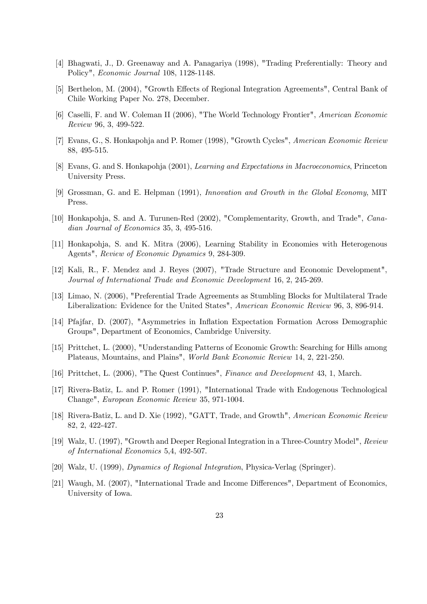- [4] Bhagwati, J., D. Greenaway and A. Panagariya (1998), "Trading Preferentially: Theory and Policy", Economic Journal 108, 1128-1148.
- [5] Berthelon, M. (2004), "Growth Effects of Regional Integration Agreements", Central Bank of Chile Working Paper No. 278, December.
- [6] Caselli, F. and W. Coleman II (2006), "The World Technology Frontier", American Economic Review 96, 3, 499-522.
- [7] Evans, G., S. Honkapohja and P. Romer (1998), "Growth Cycles", American Economic Review 88, 495-515.
- [8] Evans, G. and S. Honkapohja (2001), Learning and Expectations in Macroeconomics, Princeton University Press.
- [9] Grossman, G. and E. Helpman (1991), Innovation and Growth in the Global Economy, MIT Press.
- [10] Honkapohja, S. and A. Turunen-Red (2002), "Complementarity, Growth, and Trade", Canadian Journal of Economics 35, 3, 495-516.
- [11] Honkapohja, S. and K. Mitra (2006), Learning Stability in Economies with Heterogenous Agents", Review of Economic Dynamics 9, 284-309.
- [12] Kali, R., F. Mendez and J. Reyes (2007), "Trade Structure and Economic Development", Journal of International Trade and Economic Development 16, 2, 245-269.
- [13] Limao, N. (2006), "Preferential Trade Agreements as Stumbling Blocks for Multilateral Trade Liberalization: Evidence for the United States", American Economic Review 96, 3, 896-914.
- [14] Pfajfar, D. (2007), "Asymmetries in Inflation Expectation Formation Across Demographic Groups", Department of Economics, Cambridge University.
- [15] Prittchet, L. (2000), "Understanding Patterns of Economic Growth: Searching for Hills among Plateaus, Mountains, and Plains", World Bank Economic Review 14, 2, 221-250.
- [16] Prittchet, L. (2006), "The Quest Continues", Finance and Development 43, 1, March.
- [17] Rivera-Batiz, L. and P. Romer (1991), "International Trade with Endogenous Technological Change", European Economic Review 35, 971-1004.
- [18] Rivera-Batiz, L. and D. Xie (1992), "GATT, Trade, and Growth", American Economic Review 82, 2, 422-427.
- [19] Walz, U. (1997), "Growth and Deeper Regional Integration in a Three-Country Model", Review of International Economics 5,4, 492-507.
- [20] Walz, U. (1999), Dynamics of Regional Integration, Physica-Verlag (Springer).
- [21] Waugh, M. (2007), "International Trade and Income Differences", Department of Economics, University of Iowa.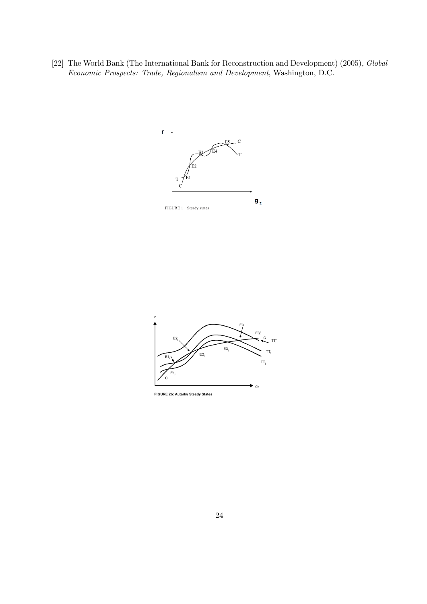[22] The World Bank (The International Bank for Reconstruction and Development) (2005), Global Economic Prospects: Trade, Regionalism and Development, Washington, D.C.





**FIGURE 2b: Autarky Steady States**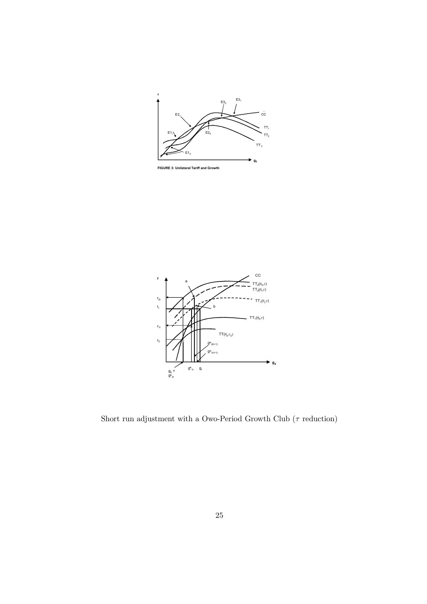

**FIGURE 3: Unilateral Tariff and Growth**



Short run adjustment with a Owo-Period Growth Club ( $\tau$  reduction)